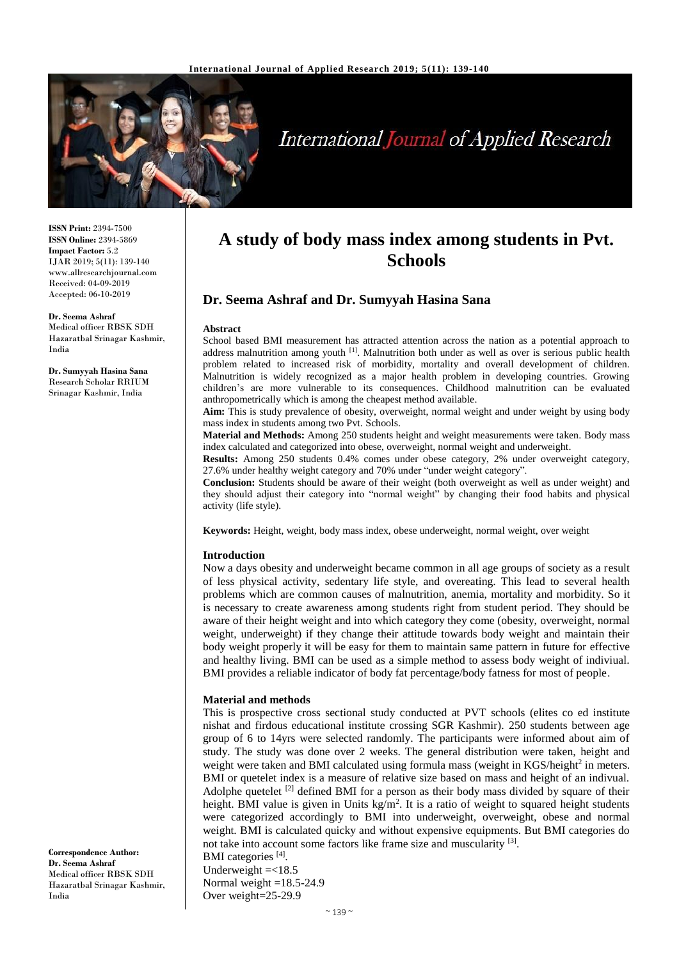

# **International Journal of Applied Research**

**ISSN Print:** 2394-7500 **ISSN Online:** 2394-5869 **Impact Factor:** 5.2 IJAR 2019; 5(11): 139-140 www.allresearchjournal.com Received: 04-09-2019 Accepted: 06-10-2019

**Dr. Seema Ashraf** Medical officer RBSK SDH Hazaratbal Srinagar Kashmir, India

**Dr. Sumyyah Hasina Sana** Research Scholar RRIUM Srinagar Kashmir, India

# **A study of body mass index among students in Pvt. Schools**

# **Dr. Seema Ashraf and Dr. Sumyyah Hasina Sana**

#### **Abstract**

School based BMI measurement has attracted attention across the nation as a potential approach to address malnutrition among youth <sup>[1]</sup>. Malnutrition both under as well as over is serious public health problem related to increased risk of morbidity, mortality and overall development of children. Malnutrition is widely recognized as a major health problem in developing countries. Growing children's are more vulnerable to its consequences. Childhood malnutrition can be evaluated anthropometrically which is among the cheapest method available.

**Aim:** This is study prevalence of obesity, overweight, normal weight and under weight by using body mass index in students among two Pvt. Schools.

**Material and Methods:** Among 250 students height and weight measurements were taken. Body mass index calculated and categorized into obese, overweight, normal weight and underweight.

**Results:** Among 250 students 0.4% comes under obese category, 2% under overweight category, 27.6% under healthy weight category and 70% under "under weight category".

**Conclusion:** Students should be aware of their weight (both overweight as well as under weight) and they should adjust their category into "normal weight" by changing their food habits and physical activity (life style).

**Keywords:** Height, weight, body mass index, obese underweight, normal weight, over weight

#### **Introduction**

Now a days obesity and underweight became common in all age groups of society as a result of less physical activity, sedentary life style, and overeating. This lead to several health problems which are common causes of malnutrition, anemia, mortality and morbidity. So it is necessary to create awareness among students right from student period. They should be aware of their height weight and into which category they come (obesity, overweight, normal weight, underweight) if they change their attitude towards body weight and maintain their body weight properly it will be easy for them to maintain same pattern in future for effective and healthy living. BMI can be used as a simple method to assess body weight of indiviual. BMI provides a reliable indicator of body fat percentage/body fatness for most of people.

# **Material and methods**

This is prospective cross sectional study conducted at PVT schools (elites co ed institute nishat and firdous educational institute crossing SGR Kashmir). 250 students between age group of 6 to 14yrs were selected randomly. The participants were informed about aim of study. The study was done over 2 weeks. The general distribution were taken, height and weight were taken and BMI calculated using formula mass (weight in KGS/height<sup>2</sup> in meters. BMI or quetelet index is a measure of relative size based on mass and height of an indivual. Adolphe quetelet  $[2]$  defined BMI for a person as their body mass divided by square of their height. BMI value is given in Units  $kg/m<sup>2</sup>$ . It is a ratio of weight to squared height students were categorized accordingly to BMI into underweight, overweight, obese and normal weight. BMI is calculated quicky and without expensive equipments. But BMI categories do not take into account some factors like frame size and muscularity [3].

BMI categories<sup>[4]</sup>. Underweight  $=<18.5$ Normal weight  $=18.5-24.9$ Over weight=25-29.9

**Correspondence Author: Dr. Seema Ashraf** Medical officer RBSK SDH Hazaratbal Srinagar Kashmir, India